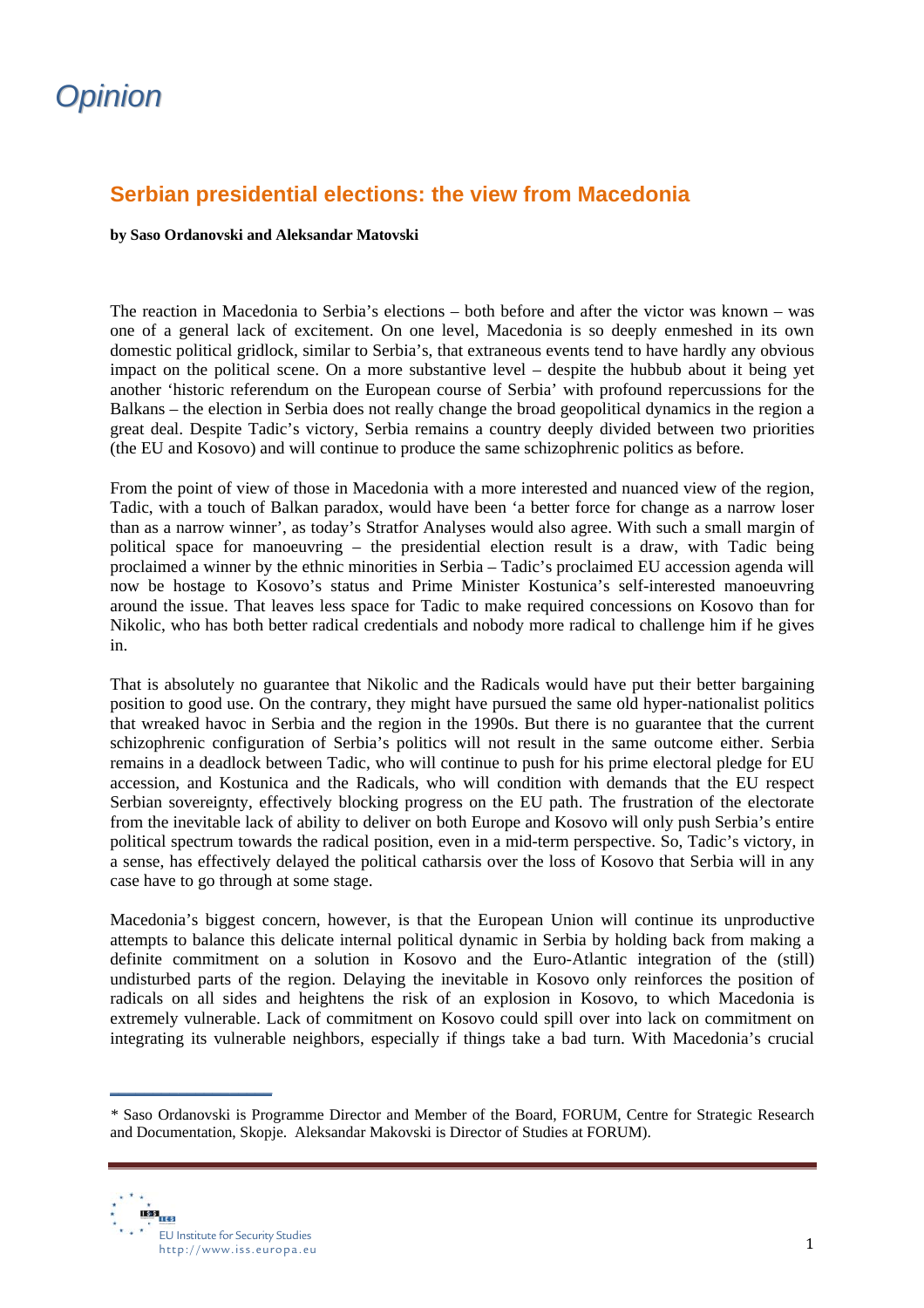## *Opinion*

## **Serbian presidential elections: the view from Macedonia**

## **by Saso Ordanovski and Aleksandar Matovski**

The reaction in Macedonia to Serbia's elections – both before and after the victor was known – was one of a general lack of excitement. On one level, Macedonia is so deeply enmeshed in its own domestic political gridlock, similar to Serbia's, that extraneous events tend to have hardly any obvious impact on the political scene. On a more substantive level – despite the hubbub about it being yet another 'historic referendum on the European course of Serbia' with profound repercussions for the Balkans – the election in Serbia does not really change the broad geopolitical dynamics in the region a great deal. Despite Tadic's victory, Serbia remains a country deeply divided between two priorities (the EU and Kosovo) and will continue to produce the same schizophrenic politics as before.

From the point of view of those in Macedonia with a more interested and nuanced view of the region, Tadic, with a touch of Balkan paradox, would have been 'a better force for change as a narrow loser than as a narrow winner', as today's Stratfor Analyses would also agree. With such a small margin of political space for manoeuvring – the presidential election result is a draw, with Tadic being proclaimed a winner by the ethnic minorities in Serbia – Tadic's proclaimed EU accession agenda will now be hostage to Kosovo's status and Prime Minister Kostunica's self-interested manoeuvring around the issue. That leaves less space for Tadic to make required concessions on Kosovo than for Nikolic, who has both better radical credentials and nobody more radical to challenge him if he gives in.

That is absolutely no guarantee that Nikolic and the Radicals would have put their better bargaining position to good use. On the contrary, they might have pursued the same old hyper-nationalist politics that wreaked havoc in Serbia and the region in the 1990s. But there is no guarantee that the current schizophrenic configuration of Serbia's politics will not result in the same outcome either. Serbia remains in a deadlock between Tadic, who will continue to push for his prime electoral pledge for EU accession, and Kostunica and the Radicals, who will condition with demands that the EU respect Serbian sovereignty, effectively blocking progress on the EU path. The frustration of the electorate from the inevitable lack of ability to deliver on both Europe and Kosovo will only push Serbia's entire political spectrum towards the radical position, even in a mid-term perspective. So, Tadic's victory, in a sense, has effectively delayed the political catharsis over the loss of Kosovo that Serbia will in any case have to go through at some stage.

Macedonia's biggest concern, however, is that the European Union will continue its unproductive attempts to balance this delicate internal political dynamic in Serbia by holding back from making a definite commitment on a solution in Kosovo and the Euro-Atlantic integration of the (still) undisturbed parts of the region. Delaying the inevitable in Kosovo only reinforces the position of radicals on all sides and heightens the risk of an explosion in Kosovo, to which Macedonia is extremely vulnerable. Lack of commitment on Kosovo could spill over into lack on commitment on integrating its vulnerable neighbors, especially if things take a bad turn. With Macedonia's crucial

*<sup>\*</sup>* Saso Ordanovski is Programme Director and Member of the Board, FORUM, Centre for Strategic Research and Documentation, Skopje. Aleksandar Makovski is Director of Studies at FORUM).



**\_\_\_\_\_\_\_\_\_\_\_\_\_\_\_\_\_\_\_**